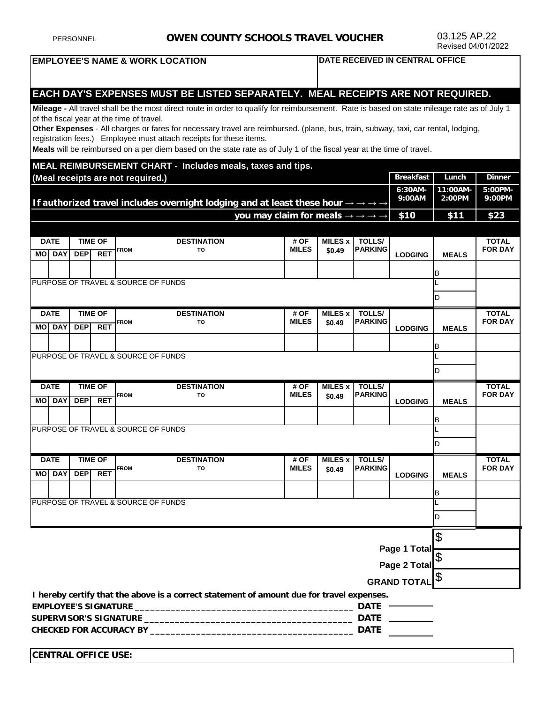| PERSONNEL                                                                                                                                                                           |                               |                          |                    | <b>OWEN COUNTY SCHOOLS TRAVEL VOUCHER</b>    |                                                                                                                                                                                                         |                                                                           |                  |                 | 03.125 AP.22<br>Revised 04/01/2022 |                   |                |
|-------------------------------------------------------------------------------------------------------------------------------------------------------------------------------------|-------------------------------|--------------------------|--------------------|----------------------------------------------|---------------------------------------------------------------------------------------------------------------------------------------------------------------------------------------------------------|---------------------------------------------------------------------------|------------------|-----------------|------------------------------------|-------------------|----------------|
| <b>EMPLOYEE'S NAME &amp; WORK LOCATION</b><br>DATE RECEIVED IN CENTRAL OFFICE                                                                                                       |                               |                          |                    |                                              |                                                                                                                                                                                                         |                                                                           |                  |                 |                                    |                   |                |
|                                                                                                                                                                                     |                               |                          |                    |                                              |                                                                                                                                                                                                         |                                                                           |                  |                 |                                    |                   |                |
|                                                                                                                                                                                     |                               |                          |                    |                                              | EACH DAY'S EXPENSES MUST BE LISTED SEPARATELY. MEAL RECEIPTS ARE NOT REQUIRED.                                                                                                                          |                                                                           |                  |                 |                                    |                   |                |
|                                                                                                                                                                                     |                               |                          |                    |                                              | Mileage - All travel shall be the most direct route in order to qualify for reimbursement. Rate is based on state mileage rate as of July 1                                                             |                                                                           |                  |                 |                                    |                   |                |
|                                                                                                                                                                                     |                               |                          |                    | of the fiscal year at the time of travel.    |                                                                                                                                                                                                         |                                                                           |                  |                 |                                    |                   |                |
|                                                                                                                                                                                     |                               |                          |                    |                                              | Other Expenses - All charges or fares for necessary travel are reimbursed. (plane, bus, train, subway, taxi, car rental, lodging,<br>registration fees.) Employee must attach receipts for these items. |                                                                           |                  |                 |                                    |                   |                |
|                                                                                                                                                                                     |                               |                          |                    |                                              | Meals will be reimbursed on a per diem based on the state rate as of July 1 of the fiscal year at the time of travel.                                                                                   |                                                                           |                  |                 |                                    |                   |                |
|                                                                                                                                                                                     |                               |                          |                    |                                              | MEAL REIMBURSEMENT CHART - Includes meals, taxes and tips.                                                                                                                                              |                                                                           |                  |                 |                                    |                   |                |
| (Meal receipts are not required.)<br>6:30AM-<br>9:00AM<br>If authorized travel includes overnight lodging and at least these hour $\rightarrow \rightarrow \rightarrow \rightarrow$ |                               |                          |                    |                                              |                                                                                                                                                                                                         |                                                                           |                  |                 | <b>Breakfast</b>                   | Lunch             | <b>Dinner</b>  |
|                                                                                                                                                                                     |                               |                          |                    |                                              |                                                                                                                                                                                                         |                                                                           |                  |                 | 11:00AM-<br>2:00PM                 | 5:00PM-<br>9:00PM |                |
|                                                                                                                                                                                     |                               |                          |                    |                                              |                                                                                                                                                                                                         | you may claim for meals $\rightarrow \rightarrow \rightarrow \rightarrow$ |                  |                 | \$10                               | \$11              | \$23           |
|                                                                                                                                                                                     |                               |                          |                    |                                              |                                                                                                                                                                                                         |                                                                           |                  |                 |                                    |                   |                |
|                                                                                                                                                                                     | <b>DATE</b>                   |                          | <b>TIME OF</b>     |                                              | <b>DESTINATION</b>                                                                                                                                                                                      | # OF                                                                      | <b>MILES x I</b> | <b>TOLLS/</b>   |                                    |                   | <b>TOTAL</b>   |
|                                                                                                                                                                                     | <b>MOI DAY</b>                | <b>DEP</b>               | <b>RET</b>         | <b>FROM</b>                                  | TO                                                                                                                                                                                                      | <b>MILES</b>                                                              | \$0.49           | <b>PARKING</b>  | <b>LODGING</b>                     | <b>MEALS</b>      | <b>FOR DAY</b> |
|                                                                                                                                                                                     |                               |                          |                    |                                              |                                                                                                                                                                                                         |                                                                           |                  |                 |                                    | B                 |                |
|                                                                                                                                                                                     |                               |                          |                    |                                              | PURPOSE OF TRAVEL & SOURCE OF FUNDS                                                                                                                                                                     |                                                                           |                  |                 |                                    |                   |                |
|                                                                                                                                                                                     |                               |                          |                    |                                              |                                                                                                                                                                                                         |                                                                           |                  |                 |                                    | D                 |                |
| <b>DATE</b>                                                                                                                                                                         |                               |                          | <b>TIME OF</b>     | <b>DESTINATION</b><br># OF<br><b>MILES x</b> |                                                                                                                                                                                                         | <b>TOLLS/</b>                                                             |                  |                 | <b>TOTAL</b>                       |                   |                |
|                                                                                                                                                                                     | <b>MO DAY</b>                 | <b>DEP</b>               | <b>RET</b>         | <b>FROM</b>                                  | TO                                                                                                                                                                                                      | <b>MILES</b>                                                              | \$0.49           | <b>PARKING</b>  | <b>LODGING</b>                     | <b>MEALS</b>      | <b>FOR DAY</b> |
|                                                                                                                                                                                     |                               |                          |                    |                                              |                                                                                                                                                                                                         |                                                                           |                  |                 |                                    | в                 |                |
|                                                                                                                                                                                     |                               |                          |                    |                                              | PURPOSE OF TRAVEL & SOURCE OF FUNDS                                                                                                                                                                     |                                                                           |                  |                 |                                    |                   |                |
|                                                                                                                                                                                     |                               |                          |                    |                                              |                                                                                                                                                                                                         |                                                                           |                  |                 |                                    | D                 |                |
|                                                                                                                                                                                     | <b>TIME OF</b><br><b>DATE</b> |                          |                    | <b>DESTINATION</b><br># OF                   |                                                                                                                                                                                                         | <b>TOLLS/</b><br><b>MILES x</b>                                           |                  |                 |                                    | <b>TOTAL</b>      |                |
| MО                                                                                                                                                                                  | <b>DAY</b>                    | <b>DEP</b>               | <b>RET</b>         | <b>FROM</b>                                  | TO                                                                                                                                                                                                      | <b>MILES</b>                                                              | \$0.49           | <b>IPARKING</b> | <b>LODGING</b>                     | <b>MEALS</b>      | <b>FOR DAY</b> |
|                                                                                                                                                                                     |                               |                          |                    |                                              |                                                                                                                                                                                                         |                                                                           |                  |                 |                                    | IB                |                |
|                                                                                                                                                                                     |                               |                          |                    |                                              | PURPOSE OF TRAVEL & SOURCE OF FUNDS                                                                                                                                                                     |                                                                           |                  |                 |                                    |                   |                |
|                                                                                                                                                                                     |                               |                          |                    |                                              |                                                                                                                                                                                                         |                                                                           |                  |                 | D                                  |                   |                |
| <b>DATE</b><br><b>TIME OF</b>                                                                                                                                                       |                               |                          | <b>DESTINATION</b> | # OF                                         | <b>MILES x</b>                                                                                                                                                                                          | <b>TOLLS/</b>                                                             |                  |                 | <b>TOTAL</b>                       |                   |                |
|                                                                                                                                                                                     | <b>MO DAY</b>                 | <b>DEP</b><br><b>RET</b> |                    | TO<br><b>FROM</b>                            |                                                                                                                                                                                                         | <b>MILES</b>                                                              | \$0.49           | <b>PARKING</b>  | <b>LODGING</b>                     | <b>MEALS</b>      | <b>FOR DAY</b> |
|                                                                                                                                                                                     |                               |                          |                    |                                              |                                                                                                                                                                                                         |                                                                           |                  |                 |                                    |                   |                |
| PURPOSE OF TRAVEL & SOURCE OF FUNDS                                                                                                                                                 |                               |                          |                    |                                              |                                                                                                                                                                                                         |                                                                           |                  |                 | В                                  |                   |                |
|                                                                                                                                                                                     |                               |                          |                    |                                              |                                                                                                                                                                                                         |                                                                           |                  |                 | D                                  |                   |                |
|                                                                                                                                                                                     |                               |                          |                    |                                              |                                                                                                                                                                                                         |                                                                           |                  |                 |                                    |                   |                |
| Page 1 Total                                                                                                                                                                        |                               |                          |                    |                                              |                                                                                                                                                                                                         |                                                                           |                  |                 | \$                                 |                   |                |
|                                                                                                                                                                                     |                               |                          |                    |                                              |                                                                                                                                                                                                         |                                                                           |                  |                 |                                    |                   |                |
|                                                                                                                                                                                     |                               |                          |                    |                                              |                                                                                                                                                                                                         |                                                                           |                  |                 | Page 2 Total                       |                   |                |

**GRAND TOTAL** \$

**I hereby certify that the above is a correct statement of amount due for travel expenses.** 

| <b>EMPLOYEE'S SIGNATURE</b>    | DA1  |
|--------------------------------|------|
| SUPERVISOR'S SIGNATURE         | DATF |
| <b>CHECKED FOR ACCURACY BY</b> | DATE |

**CENTRAL OFFICE USE:**